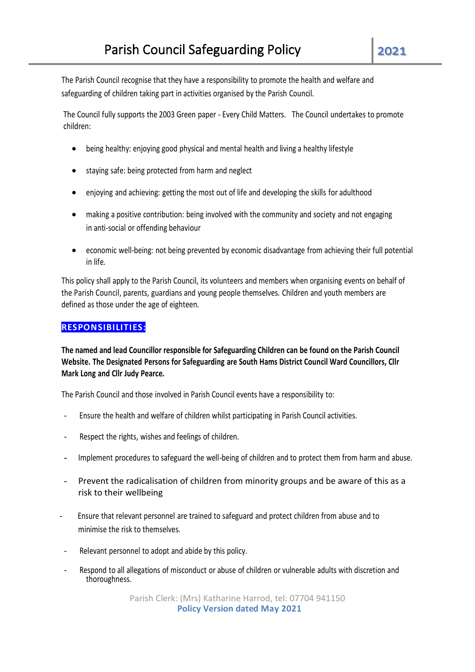The Parish Council recognise that they have a responsibility to promote the health and welfare and safeguarding of children taking part in activities organised by the Parish Council.

The Council fully supports the 2003 Green paper - Every Child Matters. The Council undertakes to promote children:

- being healthy: enjoying good physical and mental health and living a healthy lifestyle
- staying safe: being protected from harm and neglect
- enjoying and achieving: getting the most out of life and developing the skills for adulthood
- making a positive contribution: being involved with the community and society and not engaging in anti-social or offending behaviour
- economic well-being: not being prevented by economic disadvantage from achieving their full potential in life.

This policy shall apply to the Parish Council, its volunteers and members when organising events on behalf of the Parish Council, parents, guardians and young people themselves. Children and youth members are defined as those under the age of eighteen.

# **RESPONSIBILITIES:**

**The named and lead Councillor responsible for Safeguarding Children can be found on the Parish Council Website. The Designated Persons for Safeguarding are South Hams District Council Ward Councillors, Cllr Mark Long and Cllr Judy Pearce.**

The Parish Council and those involved in Parish Council events have a responsibility to:

- Ensure the health and welfare of children whilst participating in Parish Council activities.
- Respect the rights, wishes and feelings of children.
- Implement procedures to safeguard the well-being of children and to protect them from harm and abuse.
- Prevent the radicalisation of children from minority groups and be aware of this as a risk to their wellbeing
- Ensure that relevant personnel are trained to safeguard and protect children from abuse and to minimise the risk to themselves.
- Relevant personnel to adopt and abide by this policy.
- Respond to all allegations of misconduct or abuse of children or vulnerable adults with discretion and thoroughness.

Parish Clerk: (Mrs) Katharine Harrod, tel: 07704 941150 **Policy Version dated May 2021**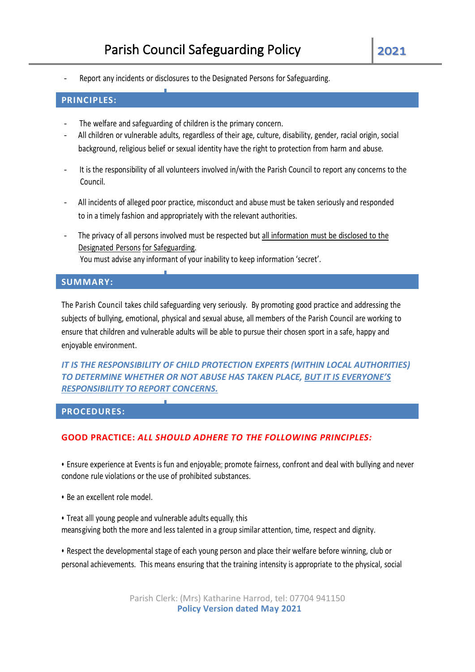Report any incidents or disclosures to the Designated Persons for Safeguarding.

## **PRINCIPLES:**

- The welfare and safeguarding of children is the primary concern.
- All children or vulnerable adults, regardless of their age, culture, disability, gender, racial origin, social background, religious belief or sexual identity have the right to protection from harm and abuse.
- It is the responsibility of all volunteers involved in/with the Parish Council to report any concerns to the Council.
- All incidents of alleged poor practice, misconduct and abuse must be taken seriously and responded to in a timely fashion and appropriately with the relevant authorities.
- The privacy of all persons involved must be respected but all information must be disclosed to the Designated Persons for Safeguarding. You must advise any informant of your inability to keep information 'secret'.

## **SUMMARY:**

The Parish Council takes child safeguarding very seriously. By promoting good practice and addressing the subjects of bullying, emotional, physical and sexual abuse, all members of the Parish Council are working to ensure that children and vulnerable adults will be able to pursue their chosen sport in a safe, happy and enjoyable environment.

*IT IS THE RESPONSIBILITY OF CHILD PROTECTION EXPERTS (WITHIN LOCAL AUTHORITIES) TO DETERMINE WHETHER OR NOT ABUSE HAS TAKEN PLACE, BUT IT IS EVERYONE'S RESPONSIBILITY TO REPORT CONCERNS.*

#### **PROCEDURES:**

## **GOOD PRACTICE:** *ALL SHOULD ADHERE TO THE FOLLOWING PRINCIPLES:*

• Ensure experience at Events is fun and enjoyable;; promote fairness, confront and deal with bullying and never condone rule violations or the use of prohibited substances.

- Be an excellent role model.
- Treat alll young people and vulnerable adults equally, this meansgiving both the more and less talented in a group similar attention, time, respect and dignity.

• Respect the developmental stage of each young person and place their welfare before winning, club or personal achievements. This means ensuring that the training intensity is appropriate to the physical, social

> Parish Clerk: (Mrs) Katharine Harrod, tel: 07704 941150 **Policy Version dated May 2021**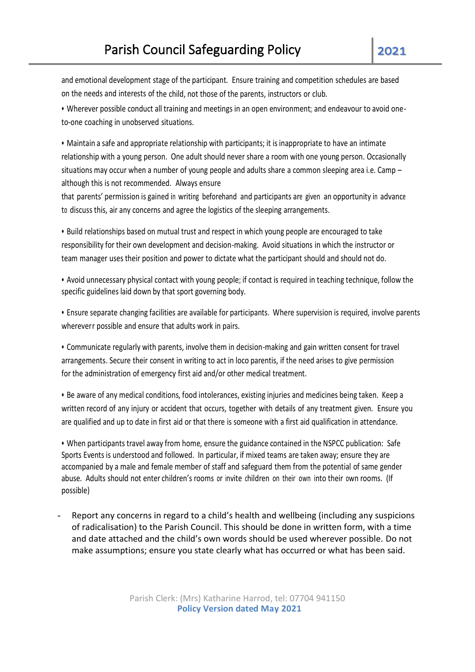and emotional development stage of the participant. Ensure training and competition schedules are based on the needs and interests of the child, not those of the parents, instructors or club.

• Wherever possible conduct all training and meetings in an open environment;; and endeavour to avoid oneto-one coaching in unobserved situations.

• Maintain a safe and appropriate relationship with participants; it is inappropriate to have an intimate relationship with a young person. One adult should never share a room with one young person. Occasionally situations may occur when a number of young people and adults share a common sleeping area i.e. Camp although this is not recommended. Always ensure

that parents' permission is gained in writing beforehand and participants are given an opportunity in advance to discuss this, air any concerns and agree the logistics of the sleeping arrangements.

• Build relationships based on mutual trust and respect in which young people are encouraged to take responsibility for their own development and decision-making. Avoid situations in which the instructor or team manager uses their position and power to dictate what the participant should and should not do.

• Avoid unnecessary physical contact with young people;; if contact is required in teaching technique, follow the specific guidelines laid down by that sport governing body.

• Ensure separate changing facilities are available for participants. Where supervision is required, involve parents whereverr possible and ensure that adults work in pairs.

• Communicate regularly with parents, involve them in decision-making and gain written consent for travel arrangements. Secure their consent in writing to act in loco parentis, if the need arises to give permission for the administration of emergency first aid and/or other medical treatment.

• Be aware of any medical conditions, food intolerances, existing injuries and medicines being taken. Keep a written record of any injury or accident that occurs, together with details of any treatment given. Ensure you are qualified and up to date in first aid or that there is someone with a first aid qualification in attendance.

• When participants travel away from home, ensure the guidance contained in the NSPCC publication: Safe Sports Events is understood and followed. In particular, if mixed teams are taken away; ensure they are accompanied by a male and female member of staff and safeguard them from the potential of same gender abuse. Adults should not enter children's rooms or invite children on their own into their own rooms. (If possible)

Report any concerns in regard to a child's health and wellbeing (including any suspicions of radicalisation) to the Parish Council. This should be done in written form, with a time and date attached and the child's own words should be used wherever possible. Do not make assumptions; ensure you state clearly what has occurred or what has been said.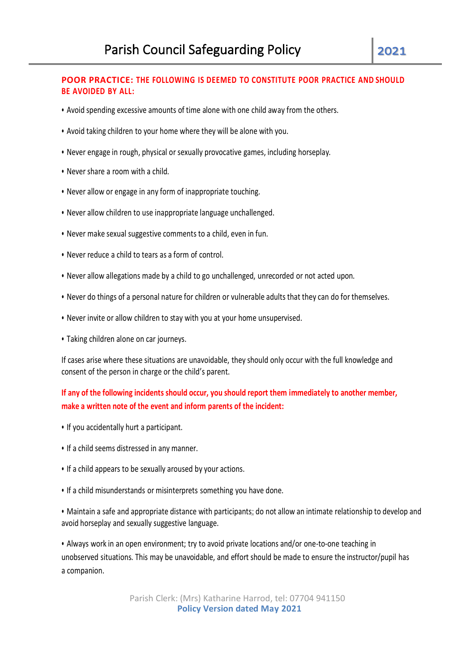## **POOR PRACTICE: THE FOLLOWING IS DEEMED TO CONSTITUTE POOR PRACTICE AND SHOULD BE AVOIDED BY ALL:**

- Avoid spending excessive amounts of time alone with one child away from the others.
- Avoid taking children to your home where they will be alone with you.
- Never engage in rough, physical or sexually provocative games, including horseplay.
- Never share a room with a child.
- Never allow or engage in any form of inappropriate touching.
- Never allow children to use inappropriate language unchallenged.
- Never make sexual suggestive comments to a child, even in fun.
- Never reduce a child to tears as a form of control.
- Never allow allegations made by a child to go unchallenged, unrecorded or not acted upon.
- Never do things of a personal nature for children or vulnerable adults that they can do for themselves.
- Never invite or allow children to stay with you at your home unsupervised.
- Taking children alone on car journeys.

If cases arise where these situations are unavoidable, they should only occur with the full knowledge and consent of the person in charge or the child's parent.

# **If any of the following incidents should occur, you should report them immediately to another member, make a written note of the event and inform parents of the incident:**

- If you accidentally hurt a participant.
- If a child seems distressed in any manner.
- If a child appears to be sexually aroused by your actions.
- If a child misunderstands or misinterprets something you have done.

• Maintain a safe and appropriate distance with participants;; do not allow an intimate relationship to develop and avoid horseplay and sexually suggestive language.

• Always work in an open environment; try to avoid private locations and/or one-to-one teaching in unobserved situations. This may be unavoidable, and effort should be made to ensure the instructor/pupil has a companion.

> Parish Clerk: (Mrs) Katharine Harrod, tel: 07704 941150 **Policy Version dated May 2021**